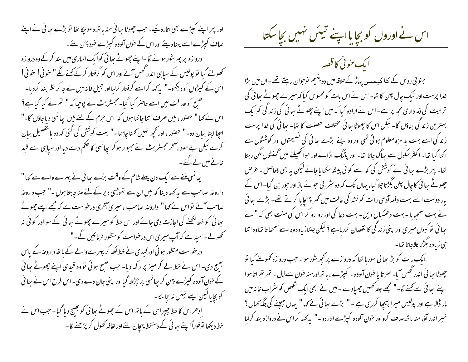اور پھر اپنے کیپڑے بھی اتار دیئیے۔ حب چھوٹا سائی منہ باتھ دھوجکا تھا تو بڑے سائی نے اپنے صاف کپڑے اسے پہنا دیئے اوراس کے خون آلودہ کپڑے خود پہن لئے۔ ِ دروازہ پر پھر شور ہونے لگا۔اپنے چھوٹے ہیا ئی کوایک الماری میں بند کرکے وہ دروازہ تحصولنے گیا تو پولیس کے سیاہی اندر تھس آئے اور اس کو گرفتار کرکے <u>بھ</u>نے لگ**ے "** خوفی! خوفی! اس کے کپڑوں کو دیکھو۔" پہ کھہ کراسے گرفتار کرلیااور جیل خانہ میں لے جا کر نظر بند کردیا۔ صبح کو عدالت میں اسے حاصر کیا گیا۔مجسٹریٹ نے پوچیا کہ " تم نے کیا کیا ہے؟ اس نے کہا " حصنور ، میں صرف اتنا جانتا ہوں کہ اس حرم کے لئے میں پھانسی دیا جاؤں گا-" احيا اپنا بيان دو-" حصور ، اور تحجيه نهبيں َ منا ڇابيتا -" بهت كوشش كى كئى كه وه بالتفصيل بيان کرے لیکن بے سود ، آخر مجسٹریٹ نے مجبور ہوکر پیانسی کا حکم دے دیا اور سیاہی اسے قبید خانے میں لے گئے۔

یعانسی ملنے سے ایک دن پہلے شام کے وقت بڑے ہعائی نے پہرے والے سے کہا " داروعۂ صاحب سے یہ کہہ دینا کہ میں ان سے تھوڑی دیر کے لئے ملنا چاہتا ہوں ۔" حب داروعہٰ صاحب آئے تواس نے کہا" داروعہ صاحب ،میری آنخری درخواست ہے کہ مجھے اپنے چھوٹے بعائی کو خط لکھنے کی اجازت دی جائے اور اس خط کو میرے چھوٹے ہعائی کے سوااور کوئی نہ کھولے۔امید ہے کہ آپ میری اس درخواست کومنظور فرمائیں گے۔" در خواست منظور ہو ئی اور قبیدی نے خط لکھ کر پہرے والے کے باتھ داروعہ کے پاس بھیج دی۔ اس نے خط لے کر میز پر رکھ دیا۔ جب صبح ہوئی تووہ قبدی اپنے چھوٹے ہیائی کے حون آلودہ کیپڑے بہن کر پیانسی پر جیڑھ گیااور اپنی جان دے دی۔اس طرح اس نے ہیا ئی کو بچایالیکن اپنے تیئن نہ بچاسکا-ادھراس کا خط جیپراسی کے باتھ اس کے جھوٹے ہ<sub>تا</sub>ئی کو بھیج دیا گیا۔ حب اس نے خط دیکھا توفوراًاپنے ہیائی کے دستخط پہچان لئے اور لفافہ کھول کر پڑھنے لگا۔

اس نے اوروں کو بچایا اپنے تبیئں نہیں بچاسکتا

ایک خونی کا قصہ جنوبی روس کے کا کیمس<sub>ٹ پ</sub>ہاڑ کے علاقہ میں دویتیم نوحوان رہتے تھے۔ان میں بڑا خدا پرست اور نیک چال چلن کا تھا۔اس نے اس بات کومحسوس کیا کہ میرے چھوٹے ہیا ئی کی تر بیت کی ذمہ داری مجھ پر ہے۔ اس نے ارادہ کیا کہ میں اپنے چھوٹے ہیا ئی کی زند کی کوایک بهترین زندگی بناؤں گا۔ لیکن اس کا چھوٹا بھائی مختلف خصلت کا تعا۔ سِائی کی خدا پرست زند گی اسے بہت بد مزہ معلوم ہو تی تھی اور وہ اپنے بڑے ہیا ئی کی تصیحتوں اور کوششوں سے ا کتا گیا تھا۔ اکثر سکول سے ہھاگ جاتا تھا۔ اور پتنگ اڑانے اور حبوالحھیلنے میں گھنٹوں مگن رہتا تغا۔ پھر بڑے سا ئی نے کوشش کی کہ اسے کو ئی پیشہ سکھا یا جائے لیکن یہ بھی لاحاصل ۔ عرُ ص چھوٹے ہیا ٹی کا چال چلن بگڑتا چلا گیا، یہاں تک کہ وہ سٹرا ٹی حبوئے باز اور حیور بن گیا۔ اس کے بار دوست اسے بہت دفعہ آدھی رات کو نشہ کی حالت میں گھر بہنچایا کرتے تھے۔ بڑے ہعائی نے بہت سمجایا - بہت دھمکیاں دیں- بہت دعا کی اور رو رو کر اس کی منت بھی کہ "اے سا ئی تو کیوں میری اور اپنی زند گی کا نقصان کررہا ہے ؟لیکن جتناز یادہ وہ اسے سمجیا تا تفاوہ اتنا ہی زیادہ بگڑتا چلاجاتا تھا۔

ایک رات کو بڑا ہجا ئی سورہا تھا کہ دروازے پر کچھ شور ہوا۔ حب دروازہ کھولنے گیا تو جھوٹا ہیا ئی اندر تھس آیا۔ سمر تا یا خون آلودہ - کیپڑے ، یاتھ اورمنہ خون سے لال - تھر تھر اتا ہوا اپنے سائی سے کہنے لگا۔" مجھے جلد کھمیں چھپادے۔میں نے ابھی ایک شخص کو مثر اب خانہ میں مار ڈالا ہے اور پولیس میرا پیچیا کررہی ہے ۔ " بڑے ہعائی نے کہا " یہاں جیپنے کی جگہ کھاں؟ خبیر اندر آؤ، منہ باتھ صاف کرو اور حون آلودہ کیپڑے اتاردو -" بیہ کہہ کر اس نے دروازہ بند کرلبا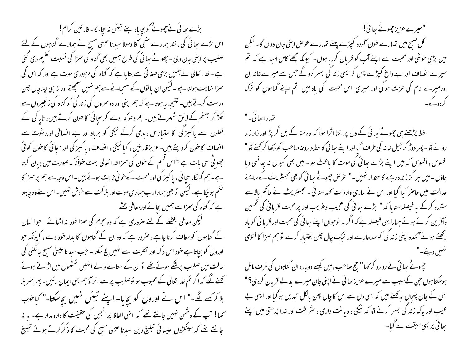بڑے بعا ئی نے چھوٹے کو بچایا،اپنے تیئں نہ بچاسکا۔قارئین کرام! اس بڑے ہجا ئی کی ما نند ہمارے منبی آقا ومولا سید نا عیسیٰ مسیح نے ہمارے گناہوں کے لئے صلیب پراپنی جان دی - چھوٹے ہیا ئی کی طرح ہمیں بھی گناہ کی سمزا کی نسبت تعلیم دی گئی ہے ۔ خدا تعالیٰ نے ہمیں بڑی صفا ئی سے بتایا ہے کہ گناہ کی مزدوری موت ہے اور کہ اس کی سمزا نہایت ہولنا ہے - لیکن ان یا توں کے سمجیانے سے ہم نہیں سمجھتے اور نہ ہی اپناچال چلن درست کرتے ہیں۔ نتیجہ یہ ہوتا ہے کہ ہم اپنی اور دوسروں کی زند کی کو گناہ کی زنجیروں سے جکڑ کر جہنم کے لائق ٹھہرتے بیں۔ ہم دھوکہ دے کر سچائی کا خون کرتے بیں، ناپا کی کے فعلوں سے پاکیز گی کا ستیاناس ، بدی کرکے نیکی کو برباد اور بے انصافی اوررشوت سے انصاف کا حون کردیتے بیں۔عزیز قارئین ، کبا نیکی ،انصاف ، پاکیز کی اور سجائی کاحون کوئی چھوٹی سی بات ہے ؟ اس قسم کے خون کی سمزا <sub>خ</sub>دا تعالیٰ بہت خوفناک صورت میں بیان کرتا ہے۔ ہم گنہگار سچا ئی ، پاکپز کی اور محبت کے خو فی ثابت ہوئے بیں۔اس وجہ سے ہم پر سمزا کا تھم ہوچکا ہے۔لیکن نو بھی ہمارارب ہماری موت اور بلاکت سے خوش نہیں۔اس لئے وہ چاہتا ہے کہ گناہ کی سمزاسے ہمیں بچائے اورمعافی بخشے۔ گیکن معافی بخشنے کے لئے صروری ہے کہ وہ مجرم کی سمزا خودینہ اٹھائے ۔ حبوالسان کے گناہوں کومعاف کرنا چاہے ، صرور ہے کہ وہ ان کے گناہوں کا بدلہ خود دے ، کیونکہ حبو اوروں کو بچاتا ہے خود اس د کھہ اور نکلیف سے نہیں بچ سکتا ۔ حب سید ناعیبیٰ مسیح جانکنی کی حالت میں صلیب پرلٹکے ہوئے تھے توان کے ستانے والے انہیں ٹھٹھوں میں اڑاتے ہوئے کھنے لگے کہ اگر تم خدا تعالیٰ کے محبوب ہو نوصلیب پر سے اتراؤ ہم بھی ایمان لائیں۔ پھر سمر ہلا ہلا کر کھنے لگے۔" اس نے اوروں کو بچایا۔ اپنے تیٹس نہیں بچاسکتا۔" کیاخوب <sup>س</sup>حہا ! آپ کے دشمن نہیں جانتے تھے کہ انہی الفاظ پر انجیل کی حقیقت کا دارو مدار ہے۔ یہ نہ جانتے تھے کہ سینکڑوں عیسائی تبلیغ دین سیدناعیسیٰ مسح کی محبت کا ذکر کرتے ہوئے تبلیغ

"میرے عزیز چھوٹے سائی!" کل صبح میں تہمارے خون آلودہ کیپڑے پہنے تہمارے عوص اپنی جان دو ں گا۔ لیکن میں بڑی خوشی اور محبت سے اپنے آپ کو قربان کررہا ہوں۔ کیونکہ مجھے کامل امید ہے کہ تم میرے انصاف اور بے داغ کپڑے پہن کر ایسی زند کی بسر کروگے جس سے میرے خاندان اور میرے نام کی عزت ہو گی اور میری اس محبت کی باد میں تم اپنے گناہوں کو ترک کې که

تہارا ہےائی۔" خط پڑھتے ہی چھوٹے ہعائی کے دل پر اتنا اثرا ہوا کہ وہ منہ کے بل گر پڑا اور زار زار رونے لگا۔ پھر دوڑ کر جیل خانہ کی طرف گیااور اپنے ہیا ٹی کا خط داروعہ صاحب کو دکھا کرکھنے لگا" افسوس ، افسوس کہ میں اپنے بڑے ہیا ئی کی موت کا باعث ہوا۔ میں بھی کیوں نہ بیانسی دیا جاؤں - میں ہر گز زندہ رہنے کا حقدار نہیں۔" عرِّ ص چھوٹے ہیا ئی کو بھی مجسٹریٹ کے سامنے عدالت میں حاصر کیا گیا اور اس نے ساری واردات کہہ سنائی ۔ مجسٹریٹ نے حاکم بالا سے مشورہ کرکے یہ فیصلہ سنا ما کہ " بڑے سائی کی عجیب وعریب اور پر محبت قربانی کی تحسین وآفرین کرتے ہوئے ہمارا یہی فیصلہ ہے کہ اگر یہ نوحوان اپنے سائی کی محبت اور قریا ٹی کو باد رکھتے ہوئے آئندہ اپنی زند گی کو سدھارے اور نیک چال چلن اختیار کرے تو ہم سزا کا فتویٰ

چھوٹے ہیا ئی نے رو رو کر <sub>ک</sub>ھا " حج صاحب ،میں کیسے دو مارہ ان گناہوں کی طر**ف م**ائل ہوسکتاہوں حن کےسبب سے میرے عزیز سائی نے اپنی جان میرے بدلے قربان کردی؟" اس کے جان پہچان پہ کہتے ہیں کہ اسی دن سے اس کا چال چلن بالکل تبدیل ہو گیا اور ایسی بے عیب اور پاک زند کی بسر کرنے لگا کہ نیکی ، دیانت داری ، <sup>م</sup>ثرا<sup>ف</sup>ت اور خدا پرستی میں اپنے ہجا ئی پر بھی سبقت لے گیا۔